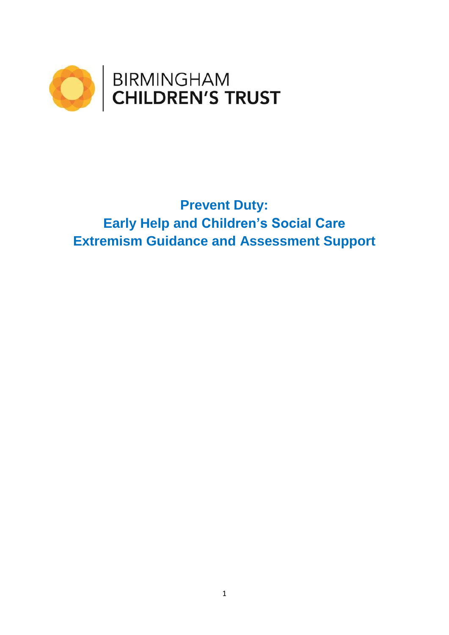

# **Prevent Duty: Early Help and Children's Social Care Extremism Guidance and Assessment Support**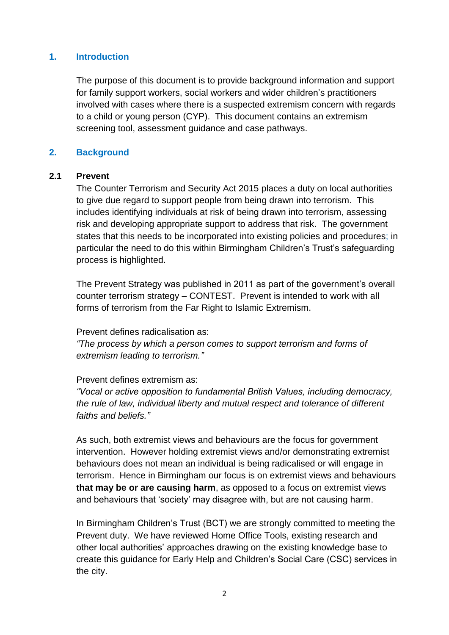# **1. Introduction**

The purpose of this document is to provide background information and support for family support workers, social workers and wider children's practitioners involved with cases where there is a suspected extremism concern with regards to a child or young person (CYP). This document contains an extremism screening tool, assessment guidance and case pathways.

# **2. Background**

### **2.1 Prevent**

The Counter Terrorism and Security Act 2015 places a duty on local authorities to give due regard to support people from being drawn into terrorism. This includes identifying individuals at risk of being drawn into terrorism, assessing risk and developing appropriate support to address that risk. The government states that this needs to be incorporated into existing policies and procedures; in particular the need to do this within Birmingham Children's Trust's safeguarding process is highlighted.

The Prevent Strategy was published in 2011 as part of the government's overall counter terrorism strategy – CONTEST. Prevent is intended to work with all forms of terrorism from the Far Right to Islamic Extremism.

Prevent defines radicalisation as:

*"The process by which a person comes to support terrorism and forms of extremism leading to terrorism."*

### Prevent defines extremism as:

*"Vocal or active opposition to fundamental British Values, including democracy, the rule of law, individual liberty and mutual respect and tolerance of different faiths and beliefs."*

As such, both extremist views and behaviours are the focus for government intervention. However holding extremist views and/or demonstrating extremist behaviours does not mean an individual is being radicalised or will engage in terrorism. Hence in Birmingham our focus is on extremist views and behaviours **that may be or are causing harm**, as opposed to a focus on extremist views and behaviours that 'society' may disagree with, but are not causing harm.

In Birmingham Children's Trust (BCT) we are strongly committed to meeting the Prevent duty. We have reviewed Home Office Tools, existing research and other local authorities' approaches drawing on the existing knowledge base to create this guidance for Early Help and Children's Social Care (CSC) services in the city.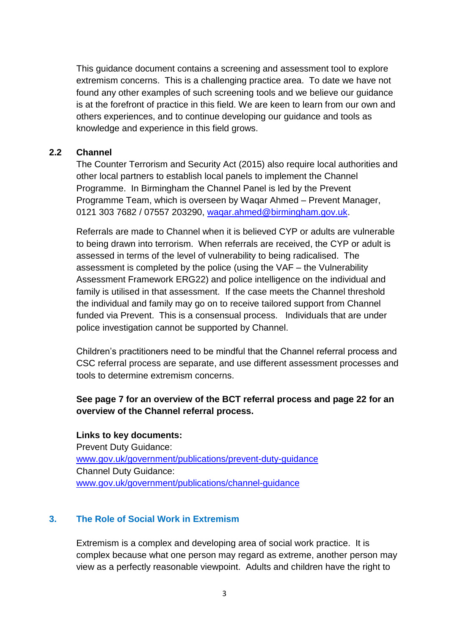This guidance document contains a screening and assessment tool to explore extremism concerns. This is a challenging practice area. To date we have not found any other examples of such screening tools and we believe our guidance is at the forefront of practice in this field. We are keen to learn from our own and others experiences, and to continue developing our guidance and tools as knowledge and experience in this field grows.

# **2.2 Channel**

The Counter Terrorism and Security Act (2015) also require local authorities and other local partners to establish local panels to implement the Channel Programme. In Birmingham the Channel Panel is led by the Prevent Programme Team, which is overseen by Waqar Ahmed – Prevent Manager, 0121 303 7682 / 07557 203290, [waqar.ahmed@birmingham.gov.uk.](mailto:waqar.ahmed@birmingham.gov.uk)

Referrals are made to Channel when it is believed CYP or adults are vulnerable to being drawn into terrorism. When referrals are received, the CYP or adult is assessed in terms of the level of vulnerability to being radicalised. The assessment is completed by the police (using the VAF – the Vulnerability Assessment Framework ERG22) and police intelligence on the individual and family is utilised in that assessment. If the case meets the Channel threshold the individual and family may go on to receive tailored support from Channel funded via Prevent. This is a consensual process. Individuals that are under police investigation cannot be supported by Channel.

Children's practitioners need to be mindful that the Channel referral process and CSC referral process are separate, and use different assessment processes and tools to determine extremism concerns.

# **See page 7 for an overview of the BCT referral process and page 22 for an overview of the Channel referral process.**

**Links to key documents:** Prevent Duty Guidance: [www.gov.uk/government/publications/prevent-duty-guidance](http://www.gov.uk/government/publications/prevent-duty-guidance)  Channel Duty Guidance: [www.gov.uk/government/publications/channel-guidance](http://www.gov.uk/government/publications/channel-guidance)

# **3. The Role of Social Work in Extremism**

Extremism is a complex and developing area of social work practice. It is complex because what one person may regard as extreme, another person may view as a perfectly reasonable viewpoint. Adults and children have the right to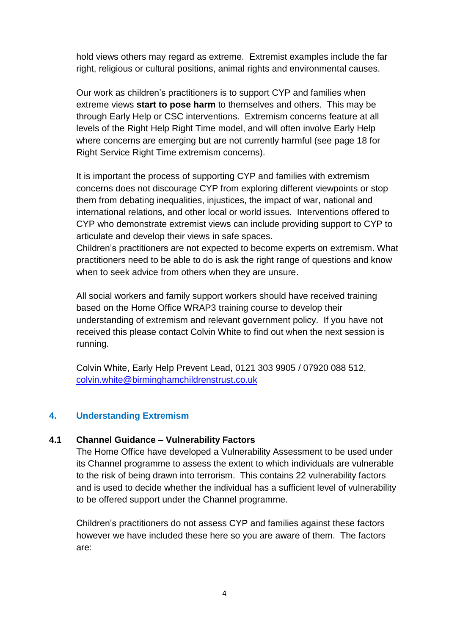hold views others may regard as extreme. Extremist examples include the far right, religious or cultural positions, animal rights and environmental causes.

Our work as children's practitioners is to support CYP and families when extreme views **start to pose harm** to themselves and others. This may be through Early Help or CSC interventions. Extremism concerns feature at all levels of the Right Help Right Time model, and will often involve Early Help where concerns are emerging but are not currently harmful (see page 18 for Right Service Right Time extremism concerns).

It is important the process of supporting CYP and families with extremism concerns does not discourage CYP from exploring different viewpoints or stop them from debating inequalities, injustices, the impact of war, national and international relations, and other local or world issues. Interventions offered to CYP who demonstrate extremist views can include providing support to CYP to articulate and develop their views in safe spaces.

Children's practitioners are not expected to become experts on extremism. What practitioners need to be able to do is ask the right range of questions and know when to seek advice from others when they are unsure.

All social workers and family support workers should have received training based on the Home Office WRAP3 training course to develop their understanding of extremism and relevant government policy. If you have not received this please contact Colvin White to find out when the next session is running.

Colvin White, Early Help Prevent Lead, 0121 303 9905 / 07920 088 512, [colvin.white@birminghamchildrenstrust.co.uk](mailto:colvin.white@birminghamchildrenstrust.co.uk)

# **4. Understanding Extremism**

# **4.1 Channel Guidance – Vulnerability Factors**

The Home Office have developed a Vulnerability Assessment to be used under its Channel programme to assess the extent to which individuals are vulnerable to the risk of being drawn into terrorism. This contains 22 vulnerability factors and is used to decide whether the individual has a sufficient level of vulnerability to be offered support under the Channel programme.

Children's practitioners do not assess CYP and families against these factors however we have included these here so you are aware of them. The factors are: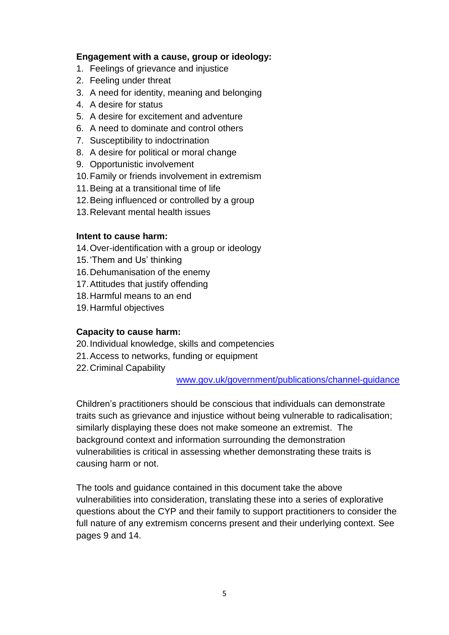# **Engagement with a cause, group or ideology:**

- 1. Feelings of grievance and injustice
- 2. Feeling under threat
- 3. A need for identity, meaning and belonging
- 4. A desire for status
- 5. A desire for excitement and adventure
- 6. A need to dominate and control others
- 7. Susceptibility to indoctrination
- 8. A desire for political or moral change
- 9. Opportunistic involvement
- 10.Family or friends involvement in extremism
- 11.Being at a transitional time of life
- 12.Being influenced or controlled by a group
- 13.Relevant mental health issues

### **Intent to cause harm:**

- 14.Over-identification with a group or ideology
- 15.'Them and Us' thinking
- 16.Dehumanisation of the enemy
- 17.Attitudes that justify offending
- 18.Harmful means to an end
- 19.Harmful objectives

# **Capacity to cause harm:**

- 20.Individual knowledge, skills and competencies
- 21.Access to networks, funding or equipment
- 22.Criminal Capability

### [www.gov.uk/government/publications/channel-guidance](http://www.gov.uk/government/publications/channel-guidance)

Children's practitioners should be conscious that individuals can demonstrate traits such as grievance and injustice without being vulnerable to radicalisation; similarly displaying these does not make someone an extremist. The background context and information surrounding the demonstration vulnerabilities is critical in assessing whether demonstrating these traits is causing harm or not.

The tools and guidance contained in this document take the above vulnerabilities into consideration, translating these into a series of explorative questions about the CYP and their family to support practitioners to consider the full nature of any extremism concerns present and their underlying context. See pages 9 and 14.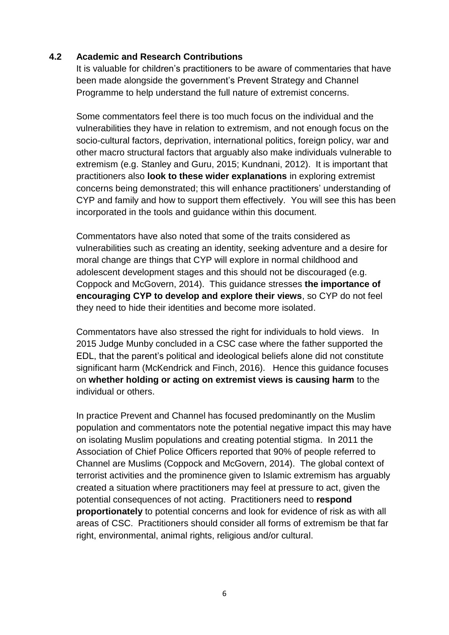# **4.2 Academic and Research Contributions**

It is valuable for children's practitioners to be aware of commentaries that have been made alongside the government's Prevent Strategy and Channel Programme to help understand the full nature of extremist concerns.

Some commentators feel there is too much focus on the individual and the vulnerabilities they have in relation to extremism, and not enough focus on the socio-cultural factors, deprivation, international politics, foreign policy, war and other macro structural factors that arguably also make individuals vulnerable to extremism (e.g. Stanley and Guru, 2015; Kundnani, 2012). It is important that practitioners also **look to these wider explanations** in exploring extremist concerns being demonstrated; this will enhance practitioners' understanding of CYP and family and how to support them effectively. You will see this has been incorporated in the tools and guidance within this document.

Commentators have also noted that some of the traits considered as vulnerabilities such as creating an identity, seeking adventure and a desire for moral change are things that CYP will explore in normal childhood and adolescent development stages and this should not be discouraged (e.g. Coppock and McGovern, 2014). This guidance stresses **the importance of encouraging CYP to develop and explore their views**, so CYP do not feel they need to hide their identities and become more isolated.

Commentators have also stressed the right for individuals to hold views. In 2015 Judge Munby concluded in a CSC case where the father supported the EDL, that the parent's political and ideological beliefs alone did not constitute significant harm (McKendrick and Finch, 2016). Hence this guidance focuses on **whether holding or acting on extremist views is causing harm** to the individual or others.

In practice Prevent and Channel has focused predominantly on the Muslim population and commentators note the potential negative impact this may have on isolating Muslim populations and creating potential stigma. In 2011 the Association of Chief Police Officers reported that 90% of people referred to Channel are Muslims (Coppock and McGovern, 2014). The global context of terrorist activities and the prominence given to Islamic extremism has arguably created a situation where practitioners may feel at pressure to act, given the potential consequences of not acting. Practitioners need to **respond proportionately** to potential concerns and look for evidence of risk as with all areas of CSC. Practitioners should consider all forms of extremism be that far right, environmental, animal rights, religious and/or cultural.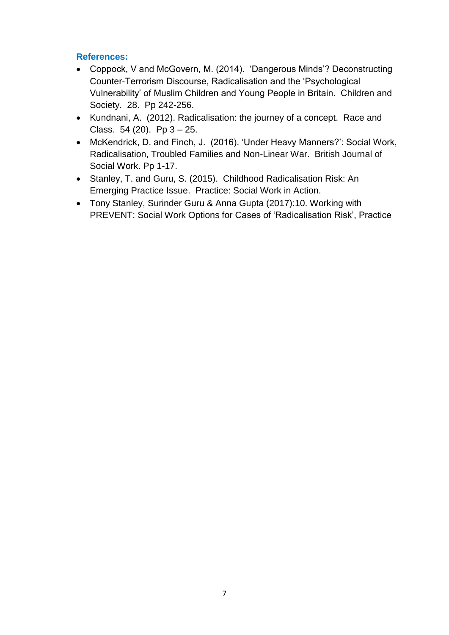# **References:**

- Coppock, V and McGovern, M. (2014). 'Dangerous Minds'? Deconstructing Counter-Terrorism Discourse, Radicalisation and the 'Psychological Vulnerability' of Muslim Children and Young People in Britain. Children and Society. 28. Pp 242-256.
- Kundnani, A. (2012). Radicalisation: the journey of a concept. Race and Class. 54 (20). Pp 3 – 25.
- McKendrick, D. and Finch, J. (2016). 'Under Heavy Manners?': Social Work, Radicalisation, Troubled Families and Non-Linear War. British Journal of Social Work. Pp 1-17.
- Stanley, T. and Guru, S. (2015). Childhood Radicalisation Risk: An Emerging Practice Issue. Practice: Social Work in Action.
- Tony Stanley, Surinder Guru & Anna Gupta (2017):10. Working with PREVENT: Social Work Options for Cases of 'Radicalisation Risk', Practice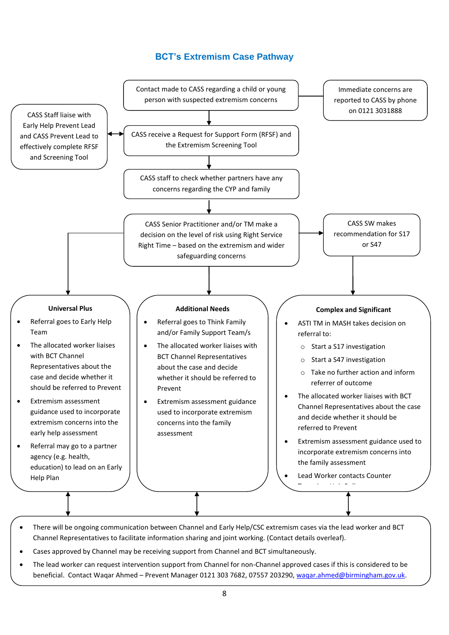# **BCT's Extremism Case Pathway**



- There will be ongoing communication between Channel and Early Help/CSC extremism cases via the lead worker and BCT Channel Representatives to facilitate information sharing and joint working. (Contact details overleaf).
- Cases approved by Channel may be receiving support from Channel and BCT simultaneously.
- The lead worker can request intervention support from Channel for non-Channel approved cases if this is considered to be beneficial. Contact Waqar Ahmed - Prevent Manager 0121 303 7682, 07557 203290, [waqar.ahmed@birmingham.gov.uk.](mailto:waqar.ahmed@birmingham.gov.uk)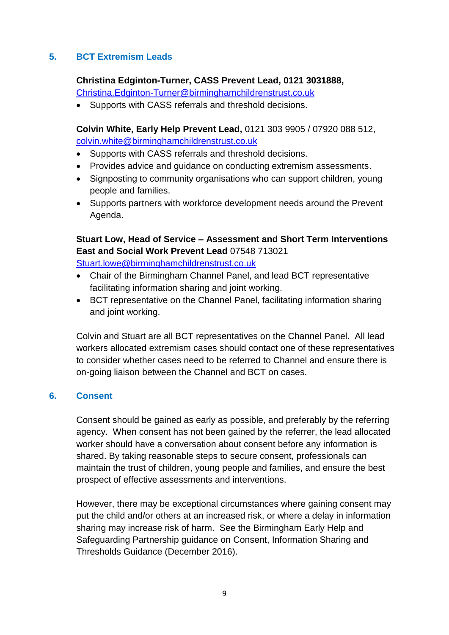# **5. BCT Extremism Leads**

# **Christina Edginton-Turner, CASS Prevent Lead, 0121 3031888,**

[Christina.Edginton-Turner@birminghamchildrenstrust.co.uk](mailto:Christina.Edginton-Turner@birminghamchildrenstrust.co.uk)

• Supports with CASS referrals and threshold decisions.

**Colvin White, Early Help Prevent Lead,** 0121 303 9905 / 07920 088 512, [colvin.white@birminghamchildrenstrust.co.uk](mailto:colvin.white@birminghamchildrenstrust.co.uk)

- Supports with CASS referrals and threshold decisions.
- Provides advice and guidance on conducting extremism assessments.
- Signposting to community organisations who can support children, young people and families.
- Supports partners with workforce development needs around the Prevent Agenda.

# **Stuart Low, Head of Service – Assessment and Short Term Interventions East and Social Work Prevent Lead** 07548 713021

[Stuart.lowe@birminghamchildrenstrust.co.uk](mailto:Stuart.lowe@birminghamchildrenstrust.co.uk)

- Chair of the Birmingham Channel Panel, and lead BCT representative facilitating information sharing and joint working.
- BCT representative on the Channel Panel, facilitating information sharing and joint working.

Colvin and Stuart are all BCT representatives on the Channel Panel. All lead workers allocated extremism cases should contact one of these representatives to consider whether cases need to be referred to Channel and ensure there is on-going liaison between the Channel and BCT on cases.

# **6. Consent**

Consent should be gained as early as possible, and preferably by the referring agency. When consent has not been gained by the referrer, the lead allocated worker should have a conversation about consent before any information is shared. By taking reasonable steps to secure consent, professionals can maintain the trust of children, young people and families, and ensure the best prospect of effective assessments and interventions.

However, there may be exceptional circumstances where gaining consent may put the child and/or others at an increased risk, or where a delay in information sharing may increase risk of harm. See the Birmingham Early Help and Safeguarding Partnership guidance on Consent, Information Sharing and Thresholds Guidance (December 2016).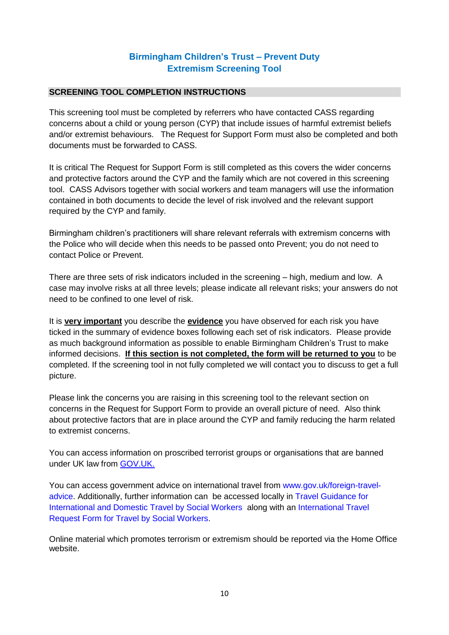# **Birmingham Children's Trust – Prevent Duty Extremism Screening Tool**

#### **SCREENING TOOL COMPLETION INSTRUCTIONS**

This screening tool must be completed by referrers who have contacted CASS regarding concerns about a child or young person (CYP) that include issues of harmful extremist beliefs and/or extremist behaviours. The Request for Support Form must also be completed and both documents must be forwarded to CASS.

It is critical The Request for Support Form is still completed as this covers the wider concerns and protective factors around the CYP and the family which are not covered in this screening tool. CASS Advisors together with social workers and team managers will use the information contained in both documents to decide the level of risk involved and the relevant support required by the CYP and family.

Birmingham children's practitioners will share relevant referrals with extremism concerns with the Police who will decide when this needs to be passed onto Prevent; you do not need to contact Police or Prevent.

There are three sets of risk indicators included in the screening – high, medium and low. A case may involve risks at all three levels; please indicate all relevant risks; your answers do not need to be confined to one level of risk.

It is **very important** you describe the **evidence** you have observed for each risk you have ticked in the summary of evidence boxes following each set of risk indicators. Please provide as much background information as possible to enable Birmingham Children's Trust to make informed decisions. **If this section is not completed, the form will be returned to you** to be completed. If the screening tool in not fully completed we will contact you to discuss to get a full picture.

Please link the concerns you are raising in this screening tool to the relevant section on concerns in the Request for Support Form to provide an overall picture of need. Also think about protective factors that are in place around the CYP and family reducing the harm related to extremist concerns.

You can access information on proscribed terrorist groups or organisations that are banned under UK law from [GOV.UK.](https://www.gov.uk/government/publications/proscribed-terror-groups-or-organisations--2)

You can access government advice on international travel from [www.gov.uk/foreign-travel](http://www.gov.uk/foreign-travel-advice)[advice.](http://www.gov.uk/foreign-travel-advice) Additionally, further information can be accessed locally in [Travel Guidance for](https://proceduresonline.com/trixcms1/media/2694/international-and-domestic-travel-301117-ct-130318.pdf)  [International and Domestic Travel by Social Workers](https://proceduresonline.com/trixcms1/media/2694/international-and-domestic-travel-301117-ct-130318.pdf) along with an [International Travel](https://proceduresonline.com/trixcms1/media/2695/international-travel-request-form-ct-130318.doc)  [Request Form for Travel by Social Workers.](https://proceduresonline.com/trixcms1/media/2695/international-travel-request-form-ct-130318.doc)

Online material which promotes terrorism or extremism should be reported via the Home Office website.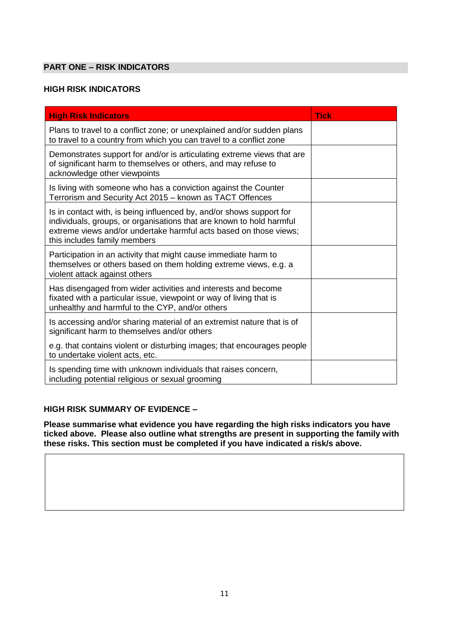### **PART ONE – RISK INDICATORS**

# **HIGH RISK INDICATORS**

| <b>High Risk Indicators</b>                                                                                                                                                                                                                       | <b>Tick</b> |
|---------------------------------------------------------------------------------------------------------------------------------------------------------------------------------------------------------------------------------------------------|-------------|
| Plans to travel to a conflict zone; or unexplained and/or sudden plans<br>to travel to a country from which you can travel to a conflict zone                                                                                                     |             |
| Demonstrates support for and/or is articulating extreme views that are<br>of significant harm to themselves or others, and may refuse to<br>acknowledge other viewpoints                                                                          |             |
| Is living with someone who has a conviction against the Counter<br>Terrorism and Security Act 2015 - known as TACT Offences                                                                                                                       |             |
| Is in contact with, is being influenced by, and/or shows support for<br>individuals, groups, or organisations that are known to hold harmful<br>extreme views and/or undertake harmful acts based on those views;<br>this includes family members |             |
| Participation in an activity that might cause immediate harm to<br>themselves or others based on them holding extreme views, e.g. a<br>violent attack against others                                                                              |             |
| Has disengaged from wider activities and interests and become<br>fixated with a particular issue, viewpoint or way of living that is<br>unhealthy and harmful to the CYP, and/or others                                                           |             |
| Is accessing and/or sharing material of an extremist nature that is of<br>significant harm to themselves and/or others                                                                                                                            |             |
| e.g. that contains violent or disturbing images; that encourages people<br>to undertake violent acts, etc.                                                                                                                                        |             |
| Is spending time with unknown individuals that raises concern,<br>including potential religious or sexual grooming                                                                                                                                |             |

#### **HIGH RISK SUMMARY OF EVIDENCE –**

**Please summarise what evidence you have regarding the high risks indicators you have ticked above. Please also outline what strengths are present in supporting the family with these risks. This section must be completed if you have indicated a risk/s above.**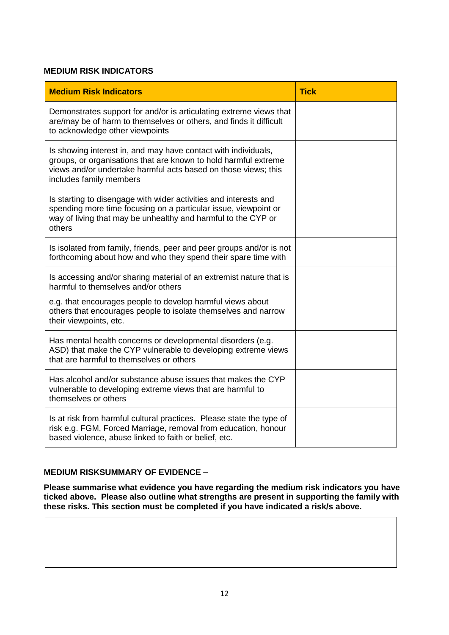#### **MEDIUM RISK INDICATORS**

| <b>Medium Risk Indicators</b>                                                                                                                                                                                                  | <b>Tick</b> |
|--------------------------------------------------------------------------------------------------------------------------------------------------------------------------------------------------------------------------------|-------------|
| Demonstrates support for and/or is articulating extreme views that<br>are/may be of harm to themselves or others, and finds it difficult<br>to acknowledge other viewpoints                                                    |             |
| Is showing interest in, and may have contact with individuals,<br>groups, or organisations that are known to hold harmful extreme<br>views and/or undertake harmful acts based on those views; this<br>includes family members |             |
| Is starting to disengage with wider activities and interests and<br>spending more time focusing on a particular issue, viewpoint or<br>way of living that may be unhealthy and harmful to the CYP or<br>others                 |             |
| Is isolated from family, friends, peer and peer groups and/or is not<br>forthcoming about how and who they spend their spare time with                                                                                         |             |
| Is accessing and/or sharing material of an extremist nature that is<br>harmful to themselves and/or others                                                                                                                     |             |
| e.g. that encourages people to develop harmful views about<br>others that encourages people to isolate themselves and narrow<br>their viewpoints, etc.                                                                         |             |
| Has mental health concerns or developmental disorders (e.g.<br>ASD) that make the CYP vulnerable to developing extreme views<br>that are harmful to themselves or others                                                       |             |
| Has alcohol and/or substance abuse issues that makes the CYP<br>vulnerable to developing extreme views that are harmful to<br>themselves or others                                                                             |             |
| Is at risk from harmful cultural practices. Please state the type of<br>risk e.g. FGM, Forced Marriage, removal from education, honour<br>based violence, abuse linked to faith or belief, etc.                                |             |

### **MEDIUM RISKSUMMARY OF EVIDENCE –**

**Please summarise what evidence you have regarding the medium risk indicators you have ticked above. Please also outline what strengths are present in supporting the family with these risks. This section must be completed if you have indicated a risk/s above.**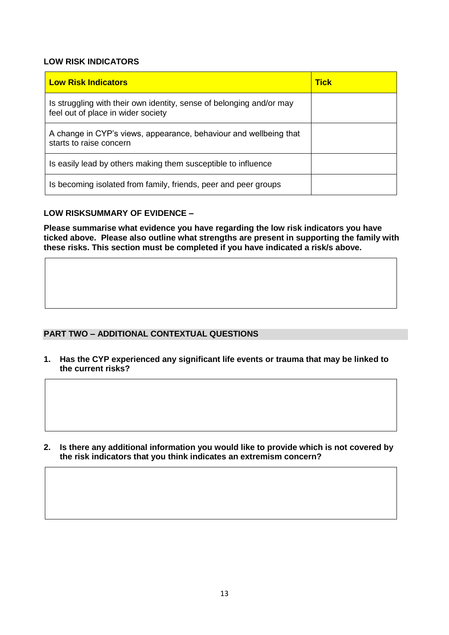#### **LOW RISK INDICATORS**

| <b>Low Risk Indicators</b>                                                                                 | <b>Tick</b> |
|------------------------------------------------------------------------------------------------------------|-------------|
| Is struggling with their own identity, sense of belonging and/or may<br>feel out of place in wider society |             |
| A change in CYP's views, appearance, behaviour and wellbeing that<br>starts to raise concern               |             |
| Is easily lead by others making them susceptible to influence                                              |             |
| Is becoming isolated from family, friends, peer and peer groups                                            |             |

#### **LOW RISKSUMMARY OF EVIDENCE –**

**Please summarise what evidence you have regarding the low risk indicators you have ticked above. Please also outline what strengths are present in supporting the family with these risks. This section must be completed if you have indicated a risk/s above.**

#### **PART TWO – ADDITIONAL CONTEXTUAL QUESTIONS**

**1. Has the CYP experienced any significant life events or trauma that may be linked to the current risks?**

**2. Is there any additional information you would like to provide which is not covered by the risk indicators that you think indicates an extremism concern?**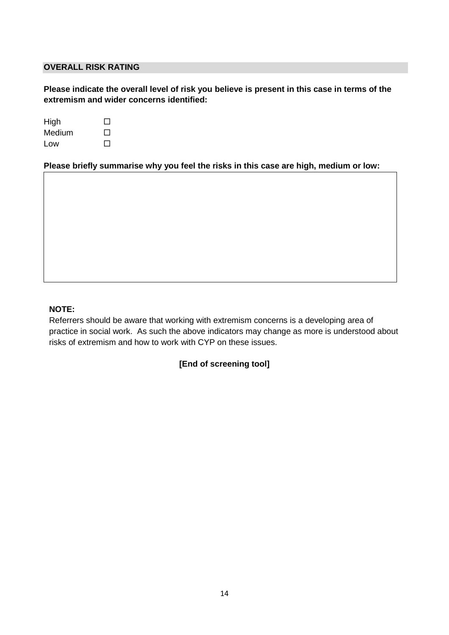#### **OVERALL RISK RATING**

**Please indicate the overall level of risk you believe is present in this case in terms of the extremism and wider concerns identified:**

| High   | $\mathbf{1}$ |
|--------|--------------|
| Medium | $\mathbf{1}$ |
| Low    | $\perp$      |

**Please briefly summarise why you feel the risks in this case are high, medium or low:**

#### **NOTE:**

Referrers should be aware that working with extremism concerns is a developing area of practice in social work. As such the above indicators may change as more is understood about risks of extremism and how to work with CYP on these issues.

#### **[End of screening tool]**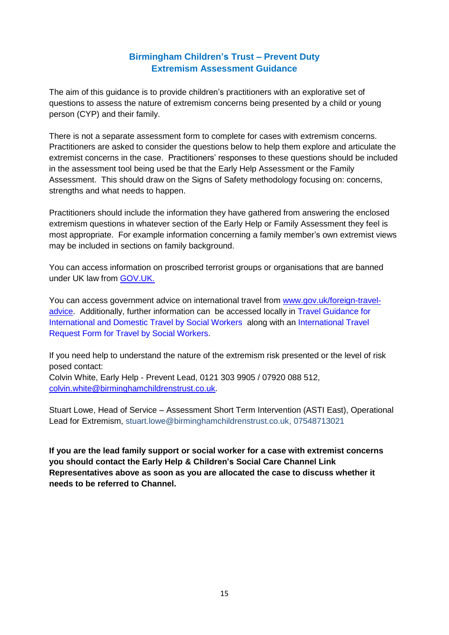# **Birmingham Children's Trust – Prevent Duty Extremism Assessment Guidance**

The aim of this guidance is to provide children's practitioners with an explorative set of questions to assess the nature of extremism concerns being presented by a child or young person (CYP) and their family.

There is not a separate assessment form to complete for cases with extremism concerns. Practitioners are asked to consider the questions below to help them explore and articulate the extremist concerns in the case. Practitioners' responses to these questions should be included in the assessment tool being used be that the Early Help Assessment or the Family Assessment. This should draw on the Signs of Safety methodology focusing on: concerns, strengths and what needs to happen.

Practitioners should include the information they have gathered from answering the enclosed extremism questions in whatever section of the Early Help or Family Assessment they feel is most appropriate. For example information concerning a family member's own extremist views may be included in sections on family background.

You can access information on proscribed terrorist groups or organisations that are banned under UK law from [GOV.UK.](https://www.gov.uk/government/publications/proscribed-terror-groups-or-organisations--2)

You can access government advice on international travel from [www.gov.uk/foreign-travel](http://www.gov.uk/foreign-travel-advice)[advice.](http://www.gov.uk/foreign-travel-advice) Additionally, further information can be accessed locally in [Travel Guidance for](https://proceduresonline.com/trixcms1/media/2694/international-and-domestic-travel-301117-ct-130318.pdf)  [International and Domestic Travel by Social Workers](https://proceduresonline.com/trixcms1/media/2694/international-and-domestic-travel-301117-ct-130318.pdf) along with an [International Travel](https://proceduresonline.com/trixcms1/media/2695/international-travel-request-form-ct-130318.doc)  [Request Form for Travel by Social Workers.](https://proceduresonline.com/trixcms1/media/2695/international-travel-request-form-ct-130318.doc)

If you need help to understand the nature of the extremism risk presented or the level of risk posed contact: Colvin White, Early Help - Prevent Lead, 0121 303 9905 / 07920 088 512,

[colvin.white@birminghamchildrenstrust.co.uk.](mailto:colvin.white@birminghamchildrenstrust.co.uk)

Stuart Lowe, Head of Service – Assessment Short Term Intervention (ASTI East), Operational Lead for Extremism, stuart.lowe@birminghamchildrenstrust.co.uk, 07548713021

**If you are the lead family support or social worker for a case with extremist concerns you should contact the Early Help & Children's Social Care Channel Link Representatives above as soon as you are allocated the case to discuss whether it needs to be referred to Channel.**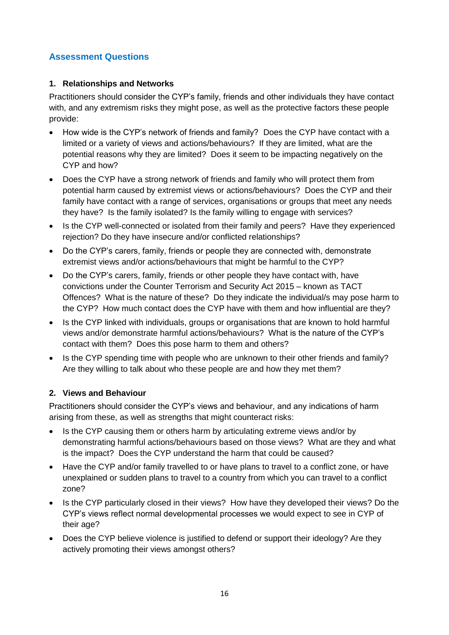# **Assessment Questions**

### **1. Relationships and Networks**

Practitioners should consider the CYP's family, friends and other individuals they have contact with, and any extremism risks they might pose, as well as the protective factors these people provide:

- How wide is the CYP's network of friends and family? Does the CYP have contact with a limited or a variety of views and actions/behaviours? If they are limited, what are the potential reasons why they are limited? Does it seem to be impacting negatively on the CYP and how?
- Does the CYP have a strong network of friends and family who will protect them from potential harm caused by extremist views or actions/behaviours? Does the CYP and their family have contact with a range of services, organisations or groups that meet any needs they have? Is the family isolated? Is the family willing to engage with services?
- Is the CYP well-connected or isolated from their family and peers? Have they experienced rejection? Do they have insecure and/or conflicted relationships?
- Do the CYP's carers, family, friends or people they are connected with, demonstrate extremist views and/or actions/behaviours that might be harmful to the CYP?
- Do the CYP's carers, family, friends or other people they have contact with, have convictions under the Counter Terrorism and Security Act 2015 – known as TACT Offences? What is the nature of these? Do they indicate the individual/s may pose harm to the CYP? How much contact does the CYP have with them and how influential are they?
- Is the CYP linked with individuals, groups or organisations that are known to hold harmful views and/or demonstrate harmful actions/behaviours? What is the nature of the CYP's contact with them? Does this pose harm to them and others?
- Is the CYP spending time with people who are unknown to their other friends and family? Are they willing to talk about who these people are and how they met them?

### **2. Views and Behaviour**

Practitioners should consider the CYP's views and behaviour, and any indications of harm arising from these, as well as strengths that might counteract risks:

- Is the CYP causing them or others harm by articulating extreme views and/or by demonstrating harmful actions/behaviours based on those views? What are they and what is the impact? Does the CYP understand the harm that could be caused?
- Have the CYP and/or family travelled to or have plans to travel to a conflict zone, or have unexplained or sudden plans to travel to a country from which you can travel to a conflict zone?
- Is the CYP particularly closed in their views? How have they developed their views? Do the CYP's views reflect normal developmental processes we would expect to see in CYP of their age?
- Does the CYP believe violence is justified to defend or support their ideology? Are they actively promoting their views amongst others?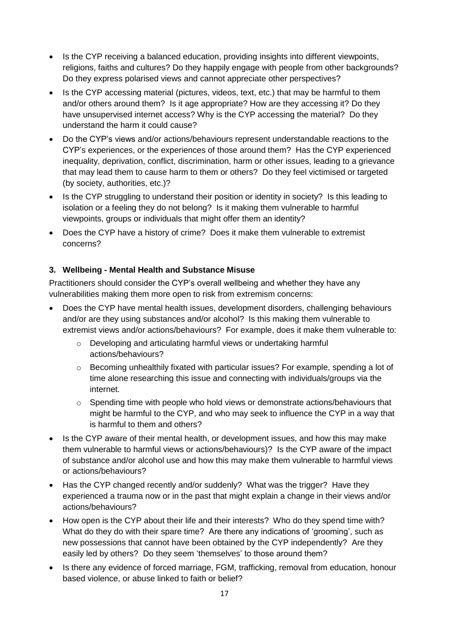- Is the CYP receiving a balanced education, providing insights into different viewpoints, religions, faiths and cultures? Do they happily engage with people from other backgrounds? Do they express polarised views and cannot appreciate other perspectives?
- Is the CYP accessing material (pictures, videos, text, etc.) that may be harmful to them and/or others around them? Is it age appropriate? How are they accessing it? Do they have unsupervised internet access? Why is the CYP accessing the material? Do they understand the harm it could cause?
- Do the CYP's views and/or actions/behaviours represent understandable reactions to the CYP's experiences, or the experiences of those around them? Has the CYP experienced inequality, deprivation, conflict, discrimination, harm or other issues, leading to a grievance that may lead them to cause harm to them or others? Do they feel victimised or targeted (by society, authorities, etc.)?
- Is the CYP struggling to understand their position or identity in society? Is this leading to isolation or a feeling they do not belong? Is it making them vulnerable to harmful viewpoints, groups or individuals that might offer them an identity?
- Does the CYP have a history of crime? Does it make them vulnerable to extremist concerns?

# **3. Wellbeing - Mental Health and Substance Misuse**

Practitioners should consider the CYP's overall wellbeing and whether they have any vulnerabilities making them more open to risk from extremism concerns:

- Does the CYP have mental health issues, development disorders, challenging behaviours and/or are they using substances and/or alcohol? Is this making them vulnerable to extremist views and/or actions/behaviours? For example, does it make them vulnerable to:
	- o Developing and articulating harmful views or undertaking harmful actions/behaviours?
	- o Becoming unhealthily fixated with particular issues? For example, spending a lot of time alone researching this issue and connecting with individuals/groups via the internet.
	- o Spending time with people who hold views or demonstrate actions/behaviours that might be harmful to the CYP, and who may seek to influence the CYP in a way that is harmful to them and others?
- Is the CYP aware of their mental health, or development issues, and how this may make them vulnerable to harmful views or actions/behaviours)? Is the CYP aware of the impact of substance and/or alcohol use and how this may make them vulnerable to harmful views or actions/behaviours?
- Has the CYP changed recently and/or suddenly? What was the trigger? Have they experienced a trauma now or in the past that might explain a change in their views and/or actions/behaviours?
- How open is the CYP about their life and their interests? Who do they spend time with? What do they do with their spare time? Are there any indications of 'grooming', such as new possessions that cannot have been obtained by the CYP independently? Are they easily led by others? Do they seem 'themselves' to those around them?
- Is there any evidence of forced marriage, FGM, trafficking, removal from education, honour based violence, or abuse linked to faith or belief?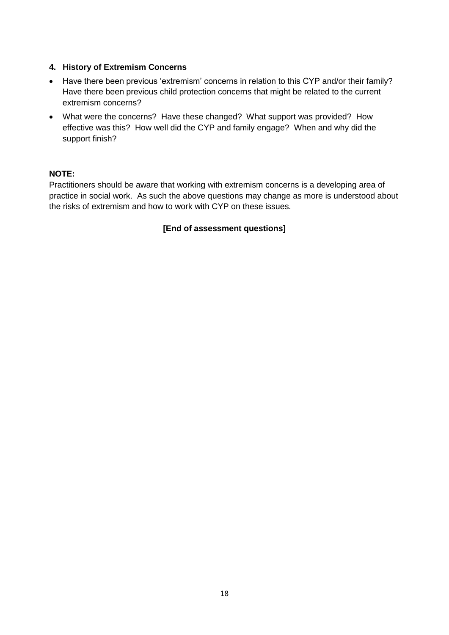#### **4. History of Extremism Concerns**

- Have there been previous 'extremism' concerns in relation to this CYP and/or their family? Have there been previous child protection concerns that might be related to the current extremism concerns?
- What were the concerns? Have these changed? What support was provided? How effective was this? How well did the CYP and family engage? When and why did the support finish?

#### **NOTE:**

Practitioners should be aware that working with extremism concerns is a developing area of practice in social work. As such the above questions may change as more is understood about the risks of extremism and how to work with CYP on these issues.

### **[End of assessment questions]**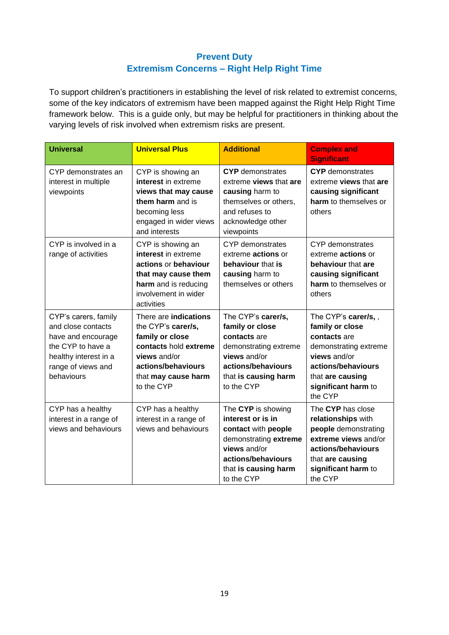# **Prevent Duty Extremism Concerns – Right Help Right Time**

To support children's practitioners in establishing the level of risk related to extremist concerns, some of the key indicators of extremism have been mapped against the Right Help Right Time framework below. This is a guide only, but may be helpful for practitioners in thinking about the varying levels of risk involved when extremism risks are present.

| <b>Universal</b>                                                                                                                                   | <b>Universal Plus</b>                                                                                                                                              | <b>Additional</b>                                                                                                                                                   | <b>Complex and</b><br><b>Significant</b>                                                                                                                                    |
|----------------------------------------------------------------------------------------------------------------------------------------------------|--------------------------------------------------------------------------------------------------------------------------------------------------------------------|---------------------------------------------------------------------------------------------------------------------------------------------------------------------|-----------------------------------------------------------------------------------------------------------------------------------------------------------------------------|
| CYP demonstrates an<br>interest in multiple<br>viewpoints                                                                                          | CYP is showing an<br>interest in extreme<br>views that may cause<br>them harm and is<br>becoming less<br>engaged in wider views<br>and interests                   | <b>CYP</b> demonstrates<br>extreme views that are<br>causing harm to<br>themselves or others,<br>and refuses to<br>acknowledge other<br>viewpoints                  | <b>CYP</b> demonstrates<br>extreme views that are<br>causing significant<br>harm to themselves or<br>others                                                                 |
| CYP is involved in a<br>range of activities                                                                                                        | CYP is showing an<br>interest in extreme<br>actions or behaviour<br>that may cause them<br>harm and is reducing<br>involvement in wider<br>activities              | <b>CYP</b> demonstrates<br>extreme actions or<br>behaviour that is<br>causing harm to<br>themselves or others                                                       | <b>CYP</b> demonstrates<br>extreme actions or<br>behaviour that are<br>causing significant<br>harm to themselves or<br>others                                               |
| CYP's carers, family<br>and close contacts<br>have and encourage<br>the CYP to have a<br>healthy interest in a<br>range of views and<br>behaviours | There are indications<br>the CYP's carer/s,<br>family or close<br>contacts hold extreme<br>views and/or<br>actions/behaviours<br>that may cause harm<br>to the CYP | The CYP's carer/s,<br>family or close<br>contacts are<br>demonstrating extreme<br>views and/or<br>actions/behaviours<br>that is causing harm<br>to the CYP          | The CYP's carer/s,,<br>family or close<br>contacts are<br>demonstrating extreme<br>views and/or<br>actions/behaviours<br>that are causing<br>significant harm to<br>the CYP |
| CYP has a healthy<br>interest in a range of<br>views and behaviours                                                                                | CYP has a healthy<br>interest in a range of<br>views and behaviours                                                                                                | The CYP is showing<br>interest or is in<br>contact with people<br>demonstrating extreme<br>views and/or<br>actions/behaviours<br>that is causing harm<br>to the CYP | The CYP has close<br>relationships with<br>people demonstrating<br>extreme views and/or<br>actions/behaviours<br>that are causing<br>significant harm to<br>the CYP         |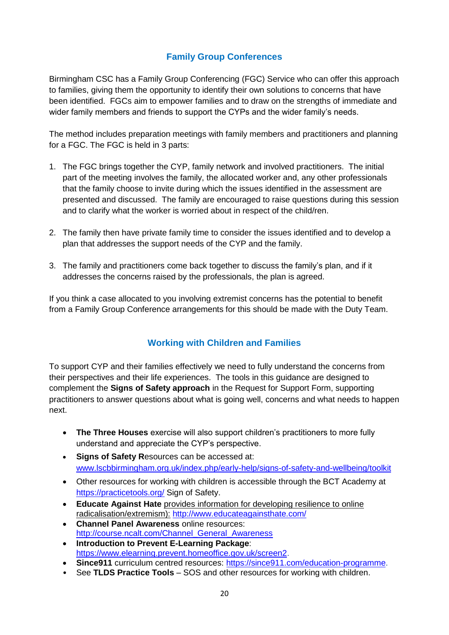# **Family Group Conferences**

Birmingham CSC has a Family Group Conferencing (FGC) Service who can offer this approach to families, giving them the opportunity to identify their own solutions to concerns that have been identified. FGCs aim to empower families and to draw on the strengths of immediate and wider family members and friends to support the CYPs and the wider family's needs.

The method includes preparation meetings with family members and practitioners and planning for a FGC. The FGC is held in 3 parts:

- 1. The FGC brings together the CYP, family network and involved practitioners. The initial part of the meeting involves the family, the allocated worker and, any other professionals that the family choose to invite during which the issues identified in the assessment are presented and discussed. The family are encouraged to raise questions during this session and to clarify what the worker is worried about in respect of the child/ren.
- 2. The family then have private family time to consider the issues identified and to develop a plan that addresses the support needs of the CYP and the family.
- 3. The family and practitioners come back together to discuss the family's plan, and if it addresses the concerns raised by the professionals, the plan is agreed.

If you think a case allocated to you involving extremist concerns has the potential to benefit from a Family Group Conference arrangements for this should be made with the Duty Team.

# **Working with Children and Families**

To support CYP and their families effectively we need to fully understand the concerns from their perspectives and their life experiences. The tools in this guidance are designed to complement the **Signs of Safety approach** in the Request for Support Form, supporting practitioners to answer questions about what is going well, concerns and what needs to happen next.

- **The Three Houses** exercise will also support children's practitioners to more fully understand and appreciate the CYP's perspective.
- **Signs of Safety R**esources can be accessed at: [www.lscbbirmingham.org.uk/index.php/early-help/signs-of-safety-and-wellbeing/toolkit](http://www.lscbbirmingham.org.uk/index.php/early-help/signs-of-safety-and-wellbeing/toolkit)
- Other resources for working with children is accessible through the BCT Academy at <https://practicetools.org/> Sign of Safety.
- **Educate Against Hate** provides information for developing resilience to online radicalisation/extremism): <http://www.educateagainsthate.com/>
- **Channel Panel Awareness** online resources: [http://course.ncalt.com/Channel\\_General\\_Awareness](http://course.ncalt.com/Channel_General_Awareness)
- **Introduction to Prevent E-Learning Package**: [https://www.elearning.prevent.homeoffice.gov.uk/screen2.](https://www.elearning.prevent.homeoffice.gov.uk/screen2)
- **Since911** curriculum centred resources: [https://since911.com/education-programme.](https://since911.com/education-programme)
- See **TLDS Practice Tools** SOS and other resources for working with children.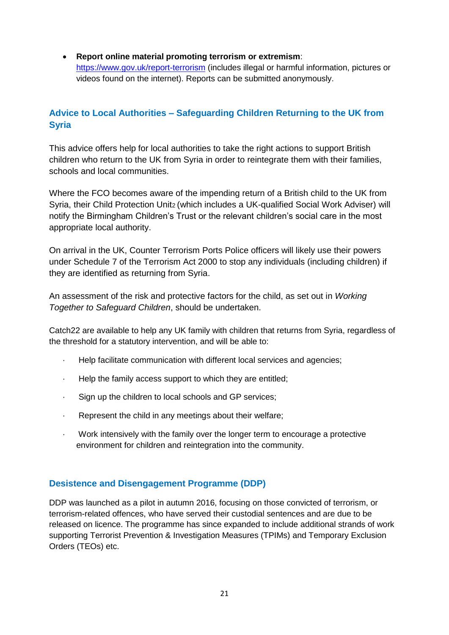**Report online material promoting terrorism or extremism**: <https://www.gov.uk/report-terrorism> (includes illegal or harmful information, pictures or videos found on the internet). Reports can be submitted anonymously.

# **Advice to Local Authorities – Safeguarding Children Returning to the UK from Syria**

This advice offers help for local authorities to take the right actions to support British children who return to the UK from Syria in order to reintegrate them with their families, schools and local communities.

Where the FCO becomes aware of the impending return of a British child to the UK from Syria, their Child Protection Unit2 (which includes a UK-qualified Social Work Adviser) will notify the Birmingham Children's Trust or the relevant children's social care in the most appropriate local authority.

On arrival in the UK, Counter Terrorism Ports Police officers will likely use their powers under Schedule 7 of the Terrorism Act 2000 to stop any individuals (including children) if they are identified as returning from Syria.

An assessment of the risk and protective factors for the child, as set out in *Working Together to Safeguard Children*, should be undertaken.

Catch22 are available to help any UK family with children that returns from Syria, regardless of the threshold for a statutory intervention, and will be able to:

- · Help facilitate communication with different local services and agencies;
- Help the family access support to which they are entitled;
- Sign up the children to local schools and GP services;
- Represent the child in any meetings about their welfare;
- · Work intensively with the family over the longer term to encourage a protective environment for children and reintegration into the community.

# **Desistence and Disengagement Programme (DDP)**

DDP was launched as a pilot in autumn 2016, focusing on those convicted of terrorism, or terrorism-related offences, who have served their custodial sentences and are due to be released on licence. The programme has since expanded to include additional strands of work supporting Terrorist Prevention & Investigation Measures (TPIMs) and Temporary Exclusion Orders (TEOs) etc.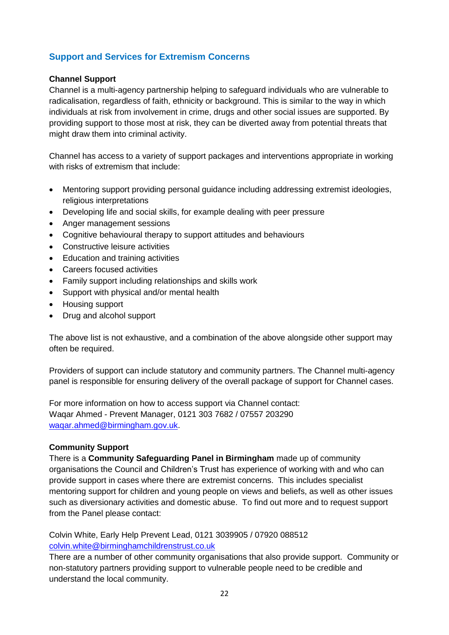# **Support and Services for Extremism Concerns**

#### **Channel Support**

Channel is a multi-agency partnership helping to safeguard individuals who are vulnerable to radicalisation, regardless of faith, ethnicity or background. This is similar to the way in which individuals at risk from involvement in crime, drugs and other social issues are supported. By providing support to those most at risk, they can be diverted away from potential threats that might draw them into criminal activity.

Channel has access to a variety of support packages and interventions appropriate in working with risks of extremism that include:

- Mentoring support providing personal guidance including addressing extremist ideologies, religious interpretations
- Developing life and social skills, for example dealing with peer pressure
- Anger management sessions
- Cognitive behavioural therapy to support attitudes and behaviours
- Constructive leisure activities
- Education and training activities
- Careers focused activities
- Family support including relationships and skills work
- Support with physical and/or mental health
- Housing support
- Drug and alcohol support

The above list is not exhaustive, and a combination of the above alongside other support may often be required.

Providers of support can include statutory and community partners. The Channel multi-agency panel is responsible for ensuring delivery of the overall package of support for Channel cases.

For more information on how to access support via Channel contact: Waqar Ahmed - Prevent Manager, 0121 303 7682 / 07557 203290 [waqar.ahmed@birmingham.gov.uk.](mailto:waqar.ahmed@birmingham.gov.uk)

#### **Community Support**

There is a **Community Safeguarding Panel in Birmingham** made up of community organisations the Council and Children's Trust has experience of working with and who can provide support in cases where there are extremist concerns. This includes specialist mentoring support for children and young people on views and beliefs, as well as other issues such as diversionary activities and domestic abuse. To find out more and to request support from the Panel please contact:

Colvin White, Early Help Prevent Lead, 0121 3039905 / 07920 088512 [colvin.white@birminghamchildrenstrust.co.uk](mailto:colvin.white@birminghamchildrenstrust.co.uk)

There are a number of other community organisations that also provide support. Community or non-statutory partners providing support to vulnerable people need to be credible and understand the local community.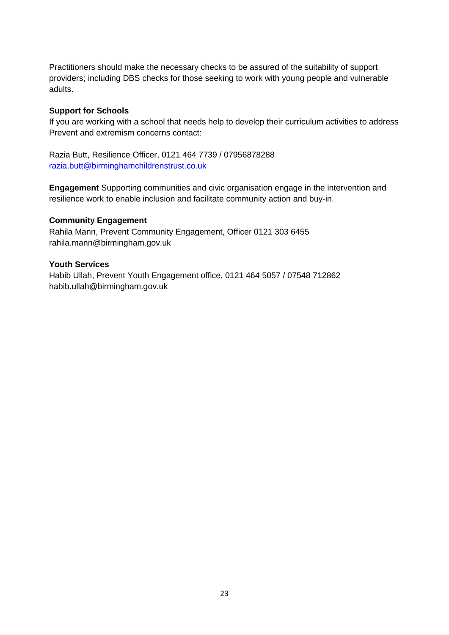Practitioners should make the necessary checks to be assured of the suitability of support providers; including DBS checks for those seeking to work with young people and vulnerable adults.

#### **Support for Schools**

If you are working with a school that needs help to develop their curriculum activities to address Prevent and extremism concerns contact:

Razia Butt, Resilience Officer, 0121 464 7739 / 07956878288 [razia.butt@birminghamchildrenstrust.co.uk](mailto:razia.butt@birminghamchildrenstrust.co.uk)

**Engagement** Supporting communities and civic organisation engage in the intervention and resilience work to enable inclusion and facilitate community action and buy-in.

#### **Community Engagement**

Rahila Mann, Prevent Community Engagement, Officer 0121 303 6455 rahila.mann@birmingham.gov.uk

#### **Youth Services**

Habib Ullah, Prevent Youth Engagement office, 0121 464 5057 / 07548 712862 habib.ullah@birmingham.gov.uk